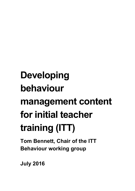# **Developing behaviour management content for initial teacher training (ITT)**

**Tom Bennett, Chair of the ITT Behaviour working group** 

**July 2016**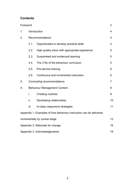# **Contents**

| Foreword                               |                                              |                                                                    | 3  |  |  |  |  |  |
|----------------------------------------|----------------------------------------------|--------------------------------------------------------------------|----|--|--|--|--|--|
| 1.                                     | Introduction                                 |                                                                    |    |  |  |  |  |  |
| 2.                                     | Recommendations                              |                                                                    |    |  |  |  |  |  |
|                                        | 2.1.                                         | Opportunities to develop practical skills<br>4                     |    |  |  |  |  |  |
|                                        | 2.2.                                         | High quality tutors with appropriate experience                    |    |  |  |  |  |  |
|                                        | 2.3.<br>Guaranteed and evidenced learning    |                                                                    |    |  |  |  |  |  |
|                                        | The 3 Rs of the behaviour curriculum<br>2.4. |                                                                    |    |  |  |  |  |  |
|                                        | 2.5.                                         | Pre-service training                                               | 6  |  |  |  |  |  |
|                                        | 2.6.                                         | Continuous and incremental instruction                             | 6  |  |  |  |  |  |
| 3.                                     | Concluding recommendations                   |                                                                    |    |  |  |  |  |  |
| 4.                                     | <b>Behaviour Management Content</b>          |                                                                    |    |  |  |  |  |  |
|                                        | i.                                           | <b>Creating routines</b>                                           | 9  |  |  |  |  |  |
|                                        | ii.                                          | Developing relationships                                           | 10 |  |  |  |  |  |
|                                        | iii.                                         | In-class responsive strategies                                     | 11 |  |  |  |  |  |
|                                        |                                              | Appendix 1: Examples of how behaviour instruction can be delivered |    |  |  |  |  |  |
|                                        |                                              | incrementally by course stage                                      | 13 |  |  |  |  |  |
| 16<br>Appendix 2: Rationale for change |                                              |                                                                    |    |  |  |  |  |  |
| Appendix 3: Acknowledgements<br>19     |                                              |                                                                    |    |  |  |  |  |  |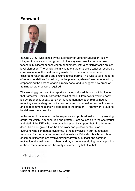# <span id="page-2-0"></span>**Foreword**



In June 2015, I was asked by the Secretary of State for Education, Nicky Morgan, to chair a working group into the way we currently prepare new teachers in classroom behaviour management, with a particular focus on low level disruption. The principal aim was to ensure that every teacher receives a core minimum of the best training available to them in order to be as classroom-ready as time and circumstances permit. This was to take the form of recommendations for building on the present system of teacher education, emphasising the best of what is already done, and to suggest new areas of training where they were required.

This working group, and the report we have produced, is our contribution to that framework. Initially part of the remit of the ITT framework working party led by Stephen Munday, behavior management has been reimagined as requiring a separate group of its own. A more condensed version of this report and its recommendations will form part of the greater ITT framework group, to be delivered concurrently.

In this report I have relied on the expertise and professionalism of my working group, for which I am honoured and grateful. I am no less so to the secretariat and staff of the DfE, who have provided essential support both in advice and deed. I am also grateful for the hard work and professional opinion of everyone who contributed evidence, to those involved in our roundtables, forums and expert advice panels and interviews. Education is a broad church of communities who are overwhelmingly driven by at least one common motivation: the wellbeing of others and my experiences during the compilation of these recommendations has only reinforced my belief in that.

Tom Bennett

Tom Bennett Chair of the ITT Behaviour Review Group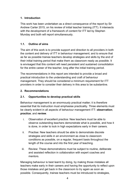# <span id="page-3-0"></span>**1. Introduction**

This work has been undertaken as a direct consequence of the report by Sir Andrew Carter 2015, on his review of initial teacher training (ITT). It intersects with the development of a framework of content for ITT led by Stephen Munday and both will report simultaneously.

# **1.1. Outline of aims**

The aim of this work is to provide support and direction to all providers in both the content and delivery of ITT in behaviour management; and to ensure that as far as possible trainee teachers develop strategies and skills by the end of their initial training period that make them as classroom ready as possible. It is envisaged that this content will need persistent and sustained consolidation for the entire career of the teacher, long after the initial training period.

The recommendations in this report are intended to provide a broad and practical introduction to the understanding and craft of behaviour management. They should be considered a minimum requirement for ITT providers in order to consider their delivery in this area to be substantive.

## <span id="page-3-1"></span>**2. Recommendations**

## <span id="page-3-2"></span>**2.1. Opportunities to develop practical skills**

Behaviour management is an enormously practical matter; it is therefore essential that its instruction must emphasise practicality. Three elements must be clearly evident in all aspects of behaviour management ITT: **observation**; **practice**; and **review**.

- i. Observation of excellent practice: New teachers must be able to observe outstanding teachers demonstrate what is possible, and how it is done, in order to lock in high expectations early in their careers.
- ii. Practise: New teachers should be able to demonstrate discrete strategies and skills in an environment as close to classroom conditions as possible, on a regular, frequent basis throughout the length of the course and into the first year of teaching.
- iii. Review: These demonstrations must be subject to routine, deliberate and assisted reflection in collaboration with expert coaches and mentors.

Managing behaviour is best learnt by doing, by making those mistakes all teachers make early in their careers and having the opportunity to reflect upon those mistakes and get back in the classroom to try again as soon as possible. Consequently, trainee teachers must be introduced to strategies,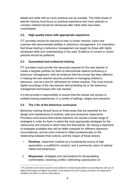beliefs and skills with as much practical use as possible. The initial phase of teacher training must focus on practical experience and more abstract or complex material should be introduced after initial skills have been consolidated.

# <span id="page-4-0"></span>**2.2. High quality tutors with appropriate experience**

ITT providers should be required to train or locate mentors, tutors and coaches with demonstrable abilities in behaviour management. It is imperative that those training in behaviour management are taught by those with highly developed skills and understanding in this area. Evidence of current or recent practice should be preferred.

# <span id="page-4-1"></span>**2.3. Guaranteed and evidenced training**

ITT providers must provide the resources required for the new teacher to create a tangible portfolio for them to demonstrate relative proficiency in behaviour management; both as evidence that the course has been effective in helping the new teacher become proficient in managing children's behaviour, and as a tool for refinement for further practice. This must include, digital recordings of the new teacher demonstrating his or her behaviour management techniques with real classes<sup>[1](#page-20-0)</sup>

It is the provider's responsibility to ensure that the trainee has access to suitable training experiences, in a variety of settings, stages and scenarios.

# <span id="page-4-2"></span>**2.4. The 3 Rs of the behaviour curriculum**

Behaviour training should focus on three areas that are essential for the design and maintenance of ordered, safe and productive classrooms. Providers must ensure that trainee teachers can access a broad range of strategies in order for them to select the most appropriate strategies for the classrooms and schools in which they find themselves. By having a repertoire of strategies available they will be better prepared for different classroom circumstances, and be more inclined to reflect professionally on the relationship between their actions, and the impact of those actions.

- i. **Routines**: classroom routines as a fundamental source of high expectation, a scaffold for conduct, and a community vision of optimal habits and behaviours.
- ii. **Responses**: strategies and interventions for de-escalating confrontation, resolving conflict, redirecting unproductive (or

<span id="page-4-3"></span> $1$  ITT providers and trainee teachers must adhere to school based policies surrounding the safe use of digital technology and digital recordings. In the absence of such a policy; providers are expected to establish and share a code for safe practice.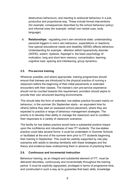destructive) behaviours, and reacting to antisocial behaviour in a just, productive and proportional way. These include formal interventions (for example: consequences described by the school behaviour policy) and informal ones (for example: verbal/ non-verbal cues, body language).

iii. **Relationships**: regulating one's own emotional state; understanding personal triggers in one's own behaviour, expectations or reactions; how special educational needs and disability (SEND) affects behaviour. Understanding for example: attention deficit hyperactivity disorder (ADHD), autism, dyslexia, Asperger's; the basic psychology of: motivation; long and short term memory; concentration; learning; cognitive load, spacing and interleaving; group dynamics.

## <span id="page-5-0"></span>**2.5. Pre-service training**

Wherever possible, and where appropriate, training programmes should ensure that trainees are introduced to the physical practice of running a classroom before the beginning of their initial placements or extended encounters with their classes. The trainee's own pre-service experience should not be counted towards this requirement; providers should aspire to provide their own structured teaching environments.

This should take the form of extended, low-stakes practice focused mainly on behaviour, in the summer (for September starts - an equivalent time for others) before they start an assessed school placement, where they are expected to practice a range of behaviour management strategies. The priority is to develop their ability to manage the classroom and to condition their responses to a variety of classroom scenarios.

The facility for low stakes practice would have a substantial positive impact upon the confidence and robustness of new ITT students. The low-stakes practice could take several forms: it could be undertaken in Summer Schools or facilitated at the end of the summer term prior to ITT students beginning their training in September. This could be usefully supported by role play scenarios with adults to develop familiarity with these strategies and the theory and evidence base underpinning them in advance of practicing them.

## <span id="page-5-1"></span>**2.6. Continuous and incremental instruction**

Behaviour training, as an integral and substantial element of ITT, must be delivered discretely, continuously and incrementally throughout the training period. It must be explicitly signposted, privileged in terms of programme time, and constructed in such a way as to guarantee that basic skills, knowledge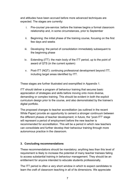and attitudes have been accrued before more advanced techniques are expected. The stages are currently:

- i. Pre-course/ pre-service: before the trainee begins a formal classroom relationship and, in some circumstances, prior to September
- ii. Beginning: the initial phase of the training course, focusing on the first few days and weeks
- iii. Developing: the period of consolidation immediately subsequent to the beginning phase
- iv. Extending (ITT): the main body of the ITT period, up to the point of award of QTS (in the current system)
- v. Post-ITT (NQT): continuing professional development beyond ITT, including target areas identified by ITT.

These stages are further illustrated and exemplified in Appendix 1.

ITT should deliver a program of behaviour training that secures basic appreciation of strategies and skills before moving onto more diverse, demanding or complex training. This should be evident in both the explicit curriculum design prior to the course, and also demonstrated by the trainee's digital portfolio.

The proposed changes to teacher accreditation (as outlined in the recent White Paper) provide an opportunity to cement a stronger continuum between the different phases of teacher development; in future, the "post-ITT" stage will represent a period of employment before the new teacher is recommended for accreditation. This will be a period in which new teachers can consolidate and further develop their behaviour training through more autonomous practice in the classroom.

## <span id="page-6-0"></span>**3. Concluding recommendations**

These recommendations should be mandatory; anything less than this level of requirement is likely to increase the potential of many teacher trainees failing to access substantial training in behaviour management. They should be an entitlement for anyone intended to educate students professionally.

The ITT period is often a very short window in which to expect candidates to learn the craft of classroom teaching in all of its dimensions. We appreciate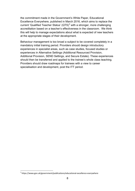the commitment made in the Government's White Paper, Educational Excellence Everywhere, published in March 2016, which aims to replace the current 'Qualified Teacher Status' (QTS)<sup>[2](#page-4-3)</sup> with a stronger, more challenging accreditation based on a teacher's effectiveness in the classroom. We think this will help to manage expectations about what is expected of new teachers at the appropriate stages of their development.

Behaviour management is too broad a subject to be covered completely in a mandatory initial training period. Providers should design introductory experiences in specialist areas, such as case studies, focused studies or experiences in Alternative Settings (Additional Resourced Provision, Additional Provision, SEND Settings, and Secure Estate). These experiences should then be transferred and applied to the trainee's whole class teaching. Providers should draw roadmaps for trainees with a view to career specialisation and development, post the ITT period.

<span id="page-7-0"></span><sup>2</sup> https://www.gov.uk/government/publications/educational-excellence-everywhere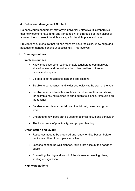#### <span id="page-8-0"></span>**4. Behaviour Management Content**

No behaviour management strategy is universally effective. It is imperative that new teachers have a full and varied toolkit of strategies at their disposal, allowing them to select the right strategy for the right place and time.

Providers should ensure that trainee teachers have the skills, knowledge and attitudes to manage behaviour successfully. This involves:

#### <span id="page-8-1"></span>**i. Creating routines**

#### **In-class routines**

- Know that classroom routines enable teachers to communicate shared values and behaviours that drive positive culture and minimise disruption
- Be able to set routines to start and end lessons
- Be able to set routines (and wider strategies) at the start of the year
- Be able to set and maintain routines that drive in-class transitions, for example having routines to bring pupils to silence, refocusing on the teacher
- Be able to set clear expectations of individual, paired and group work
- Understand how pace can be used to optimise focus and behaviour
- The importance of punctuality, and proper planning.

#### **Organisation and layout**

- Resources need to be prepared and ready for distribution, before pupils need them to complete activities
- Lessons need to be well planned, taking into account the needs of pupils
- Controlling the physical layout of the classroom: seating plans, seating configuration.

#### **High expectations**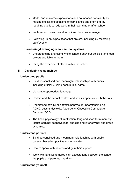- Model and reinforce expectations and boundaries constantly by making explicit expectations of compliance and effort e.g. by requiring pupils to redo work in their own time or after school
- In-classroom rewards and sanctions: their proper usage
- Following up on expectations that are set, including by recording data/events.

#### **Harnessing/Leveraging whole school systems**

- Understanding and using whole school behaviour policies, and legal powers available to them
- Using the expertise of others within the school.

#### <span id="page-9-0"></span>**ii. Developing relationships**

#### **Understand pupils**

- Build personalised and meaningful relationships with pupils, including crucially, using each pupils' name
- Using age-appropriate language
- Understand the school context and how it impacts upon behaviour
- Understand how SEND affects behaviour: understanding e.g. ADHD, autism, dyslexia, Asperger's, Obsessive Compulsive Disorder (OCD)
- The basic psychology of: motivation; long and short term memory; focus; learning; cognitive load, spacing and interleaving; and group dynamics.

#### **Understand parents**

- Build personalised and meaningful relationships with pupils' parents, based on positive communication
- How to speak with parents and gain their support
- Work with families to agree high expectations between the school, the pupils and parents/ guardians.

#### **Understand yourself**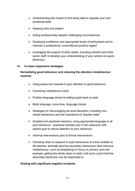- Understanding the impact of and being able to regulate your own emotional state
- Keeping calm and patient
- Acting professionally despite challenging circumstances
- Displaying confidence and appropriate levels of enthusiasm and to maintain a professional 'unconditional positive regard'
- Leveraging the support of other adults, including mentors and other senior staff, to develop your understanding of your actions on pupils behaviour.

#### <span id="page-10-0"></span>**iii. In-class responsive strategies**

# **Normalising good behaviour and reducing the attention misbehaviour receives**

- Using praise and rewards to give attention to good behaviour
- Correcting misbehaviour early
- Positive language aimed at setting pupils back on task
- Body language, voice tone, language choice
- Strategies for discouraging low level disruption, including nonverbal interactions and the importance of 'teacher radar'
- Scripted and practiced reactions, using appropriate language to all poor behaviour - practiced mentally and in the classroom with explicit goal to reduce attention to poor behaviour
- Informal interventions prior to formal interventions
- Choosing when to respond to pupil behaviours at a time suitable to the teacher; tactically ignoring secondary behaviours (less intrusive misbehaviour, such as whispering) to focus on primary ones (for example, getting the whole class on task) until such a point that the secondary behaviour can be responded to.

#### **Dealing with significant negative incidents**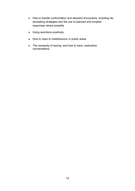- How to handle confrontation and stressful encounters, including deescalating strategies and the use of planned and scripted responses where possible
- Using sanctions positively
- How to react to misbehaviour in public areas
- The necessity of having, and how to have, restorative conversations.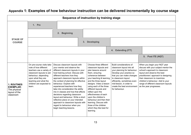<span id="page-12-0"></span>

| Sequence of instruction by training stage                                            |                                                                                                                                                                                                                          |                                                                                                                                                                                                                                                                                                                                                                                                                                                                                                                                                                                                                 |    |                                                                                                                                                                                                                                                                                                                                                                                                                                              |                                                                                                                                                                                                                                                                                 |                                                                                                                                                                                                                                                                                                                      |
|--------------------------------------------------------------------------------------|--------------------------------------------------------------------------------------------------------------------------------------------------------------------------------------------------------------------------|-----------------------------------------------------------------------------------------------------------------------------------------------------------------------------------------------------------------------------------------------------------------------------------------------------------------------------------------------------------------------------------------------------------------------------------------------------------------------------------------------------------------------------------------------------------------------------------------------------------------|----|----------------------------------------------------------------------------------------------------------------------------------------------------------------------------------------------------------------------------------------------------------------------------------------------------------------------------------------------------------------------------------------------------------------------------------------------|---------------------------------------------------------------------------------------------------------------------------------------------------------------------------------------------------------------------------------------------------------------------------------|----------------------------------------------------------------------------------------------------------------------------------------------------------------------------------------------------------------------------------------------------------------------------------------------------------------------|
|                                                                                      | 1. Pre                                                                                                                                                                                                                   |                                                                                                                                                                                                                                                                                                                                                                                                                                                                                                                                                                                                                 |    |                                                                                                                                                                                                                                                                                                                                                                                                                                              |                                                                                                                                                                                                                                                                                 |                                                                                                                                                                                                                                                                                                                      |
|                                                                                      |                                                                                                                                                                                                                          | <b>Beginning</b><br>2.                                                                                                                                                                                                                                                                                                                                                                                                                                                                                                                                                                                          |    |                                                                                                                                                                                                                                                                                                                                                                                                                                              |                                                                                                                                                                                                                                                                                 |                                                                                                                                                                                                                                                                                                                      |
| <b>STAGE OF</b><br><b>COURSE</b>                                                     |                                                                                                                                                                                                                          |                                                                                                                                                                                                                                                                                                                                                                                                                                                                                                                                                                                                                 | 3. | <b>Developing</b>                                                                                                                                                                                                                                                                                                                                                                                                                            |                                                                                                                                                                                                                                                                                 |                                                                                                                                                                                                                                                                                                                      |
|                                                                                      |                                                                                                                                                                                                                          |                                                                                                                                                                                                                                                                                                                                                                                                                                                                                                                                                                                                                 |    |                                                                                                                                                                                                                                                                                                                                                                                                                                              | 4. Extending (ITT)                                                                                                                                                                                                                                                              |                                                                                                                                                                                                                                                                                                                      |
|                                                                                      |                                                                                                                                                                                                                          |                                                                                                                                                                                                                                                                                                                                                                                                                                                                                                                                                                                                                 |    |                                                                                                                                                                                                                                                                                                                                                                                                                                              |                                                                                                                                                                                                                                                                                 | Post ITE (NQT)<br>5.                                                                                                                                                                                                                                                                                                 |
| <b>1. ROUTINES</b><br><b>EXEMPLAR:</b><br>The physical<br>layout of the<br>classroom | On pre-course visits take<br>note of how different<br>teachers use a variety of<br>classroom layouts to aid<br>behaviour, depending<br>upon what they are<br>teaching and what the<br>children are expected to<br>learn. | Discuss classroom layouts with<br>your mentor and observe the<br>different classroom layouts in your<br>host training school. Discuss with<br>different teachers how they<br>approach classroom layouts within<br>the context of planning for effective<br>behaviour. Explore with<br>experienced teachers how they<br>take into consideration the ability<br>mix in classes and how that affects<br>decisions regarding classroom<br>layout and behaviour. Write a short<br>reflective piece on your intended<br>approach to classroom layouts with<br>regard to behaviour when you<br>begin teaching lessons. |    | Choose three different<br>classroom layouts and<br>plan lessons around<br>them, ensuring<br>coherence between<br>your teaching & learning<br>and the three layout<br>designs. Video a lesson<br>using each of the three<br>different layouts and<br>reflect upon the<br>effectiveness of each<br>upon the children's<br>behaviour and then their<br>learning. Discuss with<br>three of the children<br>which they like best for<br>learning. | Build considerations of<br>classroom layout into all<br>your planning for behaviour.<br>Develop your practice so<br>that you can make changes<br>to classroom layout<br>efficiently, sometimes even<br>mid-lesson, in order to<br>create the best environment<br>for behaviour. | When you begin your NQT year<br>discuss with your subject mentor the<br>school's approach to classroom<br>layout and observe the best<br>practitioners' approach to designing<br>their classroom to maximize<br>children's behaviour. Add to your<br>range of different classroom layouts<br>as the year progresses. |

# **Appendix 1: Examples of how behaviour instruction can be delivered incrementally by course stage**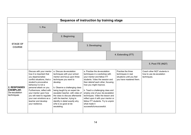| Sequence of instruction by training stage                              |                                                                                                                                                                                                                                                                                                                                           |                                                                                                                                                                                                                                                                                                                                                                                  |                                                                                                                                                                                                                                                                                                                                                                                                                                     |  |                                                                                                  |                                                                        |
|------------------------------------------------------------------------|-------------------------------------------------------------------------------------------------------------------------------------------------------------------------------------------------------------------------------------------------------------------------------------------------------------------------------------------|----------------------------------------------------------------------------------------------------------------------------------------------------------------------------------------------------------------------------------------------------------------------------------------------------------------------------------------------------------------------------------|-------------------------------------------------------------------------------------------------------------------------------------------------------------------------------------------------------------------------------------------------------------------------------------------------------------------------------------------------------------------------------------------------------------------------------------|--|--------------------------------------------------------------------------------------------------|------------------------------------------------------------------------|
| <b>STAGE OF</b><br><b>COURSE</b>                                       | 1. Pre                                                                                                                                                                                                                                                                                                                                    |                                                                                                                                                                                                                                                                                                                                                                                  |                                                                                                                                                                                                                                                                                                                                                                                                                                     |  |                                                                                                  |                                                                        |
|                                                                        |                                                                                                                                                                                                                                                                                                                                           | 2. Beginning                                                                                                                                                                                                                                                                                                                                                                     |                                                                                                                                                                                                                                                                                                                                                                                                                                     |  |                                                                                                  |                                                                        |
|                                                                        |                                                                                                                                                                                                                                                                                                                                           |                                                                                                                                                                                                                                                                                                                                                                                  | 3. Developing                                                                                                                                                                                                                                                                                                                                                                                                                       |  |                                                                                                  |                                                                        |
|                                                                        |                                                                                                                                                                                                                                                                                                                                           |                                                                                                                                                                                                                                                                                                                                                                                  |                                                                                                                                                                                                                                                                                                                                                                                                                                     |  | 4. Extending (ITT)                                                                               |                                                                        |
|                                                                        |                                                                                                                                                                                                                                                                                                                                           |                                                                                                                                                                                                                                                                                                                                                                                  |                                                                                                                                                                                                                                                                                                                                                                                                                                     |  |                                                                                                  | 5. Post ITE (NQT)                                                      |
| <b>2. RESPONSES</b><br><b>EXEMPLAR:</b><br>De-escalation<br>techniques | Discuss with your mentor<br>how it is important that<br>you depersonalise<br>conflict situations, that a<br>student's provocative<br>behaviour is not a<br>personal attack on you.<br>Furthermore, reflect with<br>your mentor upon how<br>you will need to regulate<br>your own emotions as a<br>teacher and develop<br>your resilience. | a. Discuss de-escalation<br>techniques with your school<br>mentor and focus upon three<br>techniques you want to<br>develop.<br>b. Observe a challenging class<br>being taught by an expert de-<br>escalator teacher, with video of<br>the class to discuss afterwards<br>with the teacher, trying to<br>identify in detail exactly why<br>s/he is so good at de-<br>escalating. | a. Practise the de-escalation<br>techniques in a workshop with<br>your mentor and fellow ITT<br>students. Video the session and<br>then debrief each other, focusing<br>how you might improve.<br>b. Teach a challenging class and<br>employ one of your de-escalation<br>techniques. Video the lesson and<br>reflect upon it with your mentor or<br>fellow ITT students. Try to unpick<br>what made it<br>successful/unsuccessful. |  | Practise the three<br>techniques in real<br>situations until you feel<br>you have mastered them. | Coach other NOT students in<br>how to use de-escalation<br>techniques. |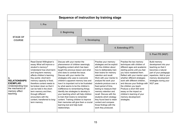| Sequence of instruction by training stage                                                                            |                                                                                                                                                                                                                                                                                                                                                                                                                                      |                                                                                                                                                                                                                                                                                                                                                                                                                                                                                                                                                                                                                                                                                  |               |  |                                                                                                                                                                                                                                                                                                                                                                                                                                                                                                                                                                                                                                                                                                                                                                                                                                                                                                                                          |                    |                                                                                                                                                                                                     |
|----------------------------------------------------------------------------------------------------------------------|--------------------------------------------------------------------------------------------------------------------------------------------------------------------------------------------------------------------------------------------------------------------------------------------------------------------------------------------------------------------------------------------------------------------------------------|----------------------------------------------------------------------------------------------------------------------------------------------------------------------------------------------------------------------------------------------------------------------------------------------------------------------------------------------------------------------------------------------------------------------------------------------------------------------------------------------------------------------------------------------------------------------------------------------------------------------------------------------------------------------------------|---------------|--|------------------------------------------------------------------------------------------------------------------------------------------------------------------------------------------------------------------------------------------------------------------------------------------------------------------------------------------------------------------------------------------------------------------------------------------------------------------------------------------------------------------------------------------------------------------------------------------------------------------------------------------------------------------------------------------------------------------------------------------------------------------------------------------------------------------------------------------------------------------------------------------------------------------------------------------|--------------------|-----------------------------------------------------------------------------------------------------------------------------------------------------------------------------------------------------|
|                                                                                                                      | 1. Pre                                                                                                                                                                                                                                                                                                                                                                                                                               |                                                                                                                                                                                                                                                                                                                                                                                                                                                                                                                                                                                                                                                                                  |               |  |                                                                                                                                                                                                                                                                                                                                                                                                                                                                                                                                                                                                                                                                                                                                                                                                                                                                                                                                          |                    |                                                                                                                                                                                                     |
|                                                                                                                      |                                                                                                                                                                                                                                                                                                                                                                                                                                      | 2. Beginning                                                                                                                                                                                                                                                                                                                                                                                                                                                                                                                                                                                                                                                                     |               |  |                                                                                                                                                                                                                                                                                                                                                                                                                                                                                                                                                                                                                                                                                                                                                                                                                                                                                                                                          |                    |                                                                                                                                                                                                     |
| <b>STAGE OF</b><br><b>COURSE</b>                                                                                     |                                                                                                                                                                                                                                                                                                                                                                                                                                      |                                                                                                                                                                                                                                                                                                                                                                                                                                                                                                                                                                                                                                                                                  | 3. Developing |  |                                                                                                                                                                                                                                                                                                                                                                                                                                                                                                                                                                                                                                                                                                                                                                                                                                                                                                                                          |                    |                                                                                                                                                                                                     |
|                                                                                                                      |                                                                                                                                                                                                                                                                                                                                                                                                                                      |                                                                                                                                                                                                                                                                                                                                                                                                                                                                                                                                                                                                                                                                                  |               |  |                                                                                                                                                                                                                                                                                                                                                                                                                                                                                                                                                                                                                                                                                                                                                                                                                                                                                                                                          | 4. Extending (ITT) |                                                                                                                                                                                                     |
|                                                                                                                      |                                                                                                                                                                                                                                                                                                                                                                                                                                      |                                                                                                                                                                                                                                                                                                                                                                                                                                                                                                                                                                                                                                                                                  |               |  |                                                                                                                                                                                                                                                                                                                                                                                                                                                                                                                                                                                                                                                                                                                                                                                                                                                                                                                                          |                    | 5. Post ITE (NQT)                                                                                                                                                                                   |
| 3.<br><b>RELATIONSHIPS</b><br><b>EXEMPLAR:</b><br>Understanding how<br>the mechanics of<br>memory affect<br>teaching | Read Daniel Willingham's<br>essay What will improve a<br>student's memory?<br>Understand how short-term<br>and long-term memory<br>affects children's learning.<br>Key points: short-term<br>memory capacity is fixed,<br>therefore content needs to<br>be broken down so that it<br>can be held in the short-<br>term memory and then,<br>through different<br>encounters with the<br>content, transferred to long-<br>term memory. | Discuss with your mentor the<br>phenomenon of children seemingly<br>forgetting content which has been<br>taught the previous lesson and what<br>s/he does to combat the issue.<br>Discuss with your mentor the<br>strategies s/he uses to overcome<br>children's apparent memory loss and<br>how it is important not to be frustrated<br>by what seems to be the children's<br>indifference to remembering things.<br>Identify two strategies to develop in<br>your teaching which will help children<br>to train their brains to remember<br>content. Training children to improve<br>their memories will give them a crucial<br>learning tool and help build<br>relationships. |               |  | Practise your memory-<br>Practise the two memory<br>strategies and be explicit<br>techniques with children of<br>with the children about<br>different ages and academic<br>starting points until you feel<br>how to deliberately train<br>you have mastered them.<br>their brains for memory<br>retention and recall.<br>Reflect with your mentor upon<br>whether different strategies<br>Work with your mentor to<br>work with different children,<br>analyse the work your<br>students produce over a<br>and discuss your findings with<br>fixed period of time,<br>the children you teach.<br>Produce a short 500 word<br>testing to measure their<br>essay on the impact on<br>memory retention and<br>recall. Discuss with the<br>children's learning of your<br>memory development<br>students which strategy<br>they found best to retain<br>strategies.<br>content and compare<br>those findings with the<br>work they produced. |                    | Build memory<br>development into your<br>teaching so that it<br>becomes a natural<br>part of your pedagogic<br>repertoire. Add to your<br>memory development<br>strategies during your<br>NQT year. |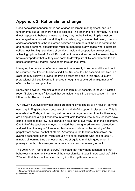# <span id="page-15-0"></span>**Appendix 2: Rationale for change**

Good behaviour management is part of good classroom management, and is a fundamental skill all teachers need to possess. The teacher's role inevitably involves directing pupils to behave in ways that they may not be inclined. Pupils must be encouraged to persist with work they find challenging, whatever their level; common codes of conduct must be reinforced between all members of the class community; and multiple personal expectations must be managed in any space where interests collide. Instilling high standards of conduct, habit and cooperation are essential to achieving optimal benefit for all. Pupils do not merely attend school to learn subjects, however important that is; they also come to develop life skills, character traits and habits of behaviour that will serve them through their lives.

Managing the behaviour of others does not come easily to some, and it should not be assumed that trainee teachers find it so. Nor should it be assumed that time in a classroom by itself will provide the training teachers need in this area. Like any professional skill set, it can be improved through the structured amalgamation of effort, reflection and practice.

Behaviour, however, remains a serious concern in UK schools. In the 2014 Ofsted report 'Below the radar<sup>[3](#page-7-0)</sup>' it stated that behaviour was still a serious concern in many UK schools. The report said:

'A 'YouGov' surveys show that pupils are potentially losing up to an hour of learning each day in English schools because of this kind of disruption in classrooms. This is equivalent to 38 days of teaching lost per year. A large number of pupils, therefore, are being denied a significant amount of valuable learning time. Many teachers have come to accept some low-level disruption as a part of everyday life in the classroom. One fifth of the teachers surveyed indicated that they ignored low-level disruption and just 'tried to carry on'. However, this behaviour disturbs the learning of the perpetrators as well as that of others. According to the teachers themselves, an average secondary school might contain five or six teachers who lose at least 10 minutes of learning time per lesson as they struggle to maintain good order. In primary schools, this averages out at nearly one teacher in every school.'

The 2015 NAHT recruitment survey<sup>[4](#page-15-1)</sup> indicated that many head teachers felt that behaviour management was one of the most significant gaps in new teachers' ability: 70% said that this was the case, placing it in the top three concerns.

<span id="page-15-2"></span><span id="page-15-1"></span><sup>3</sup> https://www.gov.uk/government/publications/below-the-radar-low-level-disruption-in-the-countrys-classrooms <sup>4</sup> http://www.naht.org.uk/welcome/news-and-media/key-topics/governance/naht-recruitment-survey-shows-growingproblems-in-schools/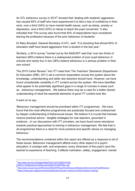An ATL behaviour survey in 2014<sup>[5](#page-15-2)</sup> showed that 'dealing with students' aggression has caused 60% of staff who have experienced it to feel a loss of confidence in their work, over a third (34%) to have mental health issues, such as stress, anxiety or depression, and a third (33%) to refuse to teach the pupil concerned.' It also indicated that 'The survey also found that 40% of respondents have considered leaving the profession because of the poor behaviour of students.'

Dr Mary Bousted, General Secretary of ATL, said: "It is shocking that almost 60% of education staff have faced aggression from a student in the last year."

Similarly, a 2014 survey <sup>[6](#page-16-0)</sup>carried out by the NASUWT said that 'over two thirds of teachers (69%) believe there is a widespread problem of poor pupil behaviour in schools and nearly four in ten (38%) believe behaviour is a serious problem in their own school.'

The 2015 Carter Review<sup>[7](#page-16-1)</sup> into ITT noted that 'The Teachers' Standards (Department for Education (DfE), 2011) set a common expectation across the system about the knowledge, understanding and skills new teachers should have. However, we have found considerable variability in ITT content across the system. We have identified what appear to be potentially significant gaps in a range of courses in areas such as…behaviour management…We believe there may be a case for a better shared understanding of what the essential elements of good ITT content look like.'

It went on to say:

'Behaviour management should be prioritised within ITT programmes…We have found that the most effective programmes are practically focused and underpinned by deeper understanding of behavioural issues. We believe it is crucial that trainees receive practical advice - tangible strategies for new teachers, grounded in evidence…In our discussions with ITT providers, we have found some reluctance towards practical approaches to training in behaviour management. We feel that in all programmes there is a need for more practical and specific advice on managing behaviour.'

The recommendations contained within this report are offered as a response to all of these issues. Behaviour management affects every other aspect of a pupil's education; it overlaps with, and empowers, every dimension of the pupil's (and the teacher's) experience of teaching. It affects motivation, safety, engagement, mental

<sup>&</sup>lt;sup>5</sup> [http://www.atl.org.uk/Images/Sept%201%2C%202014%20-](http://www.atl.org.uk/images/sept%25201%252c%25202014%2520-%2520atl%2520behaviour%2520survey%25202014%2520final.pdf)<br>%20ATL%20behaviour%20survey%202014%20FINAL.odf:

<span id="page-16-0"></span>[<sup>%20</sup>ATL%20behaviour%20survey%202014%20FINAL.pdf](http://www.atl.org.uk/images/sept%25201%252c%25202014%2520-%2520atl%2520behaviour%2520survey%25202014%2520final.pdf); <sup>6</sup> [http://www.nasuwt.org.uk/Whatsnew/NASUWTNews/PressReleases/WidespreadConcernOverPupilBehaviour;](http://www.nasuwt.org.uk/Whatsnew/NASUWTNews/PressReleases/WidespreadConcernOverPupilBehaviour)

<span id="page-16-1"></span><sup>7</sup> [https://www.gov.uk/government/publications/carter-review-of-initial-teacher-training;](https://www.gov.uk/government/publications/carter-review-of-initial-teacher-training)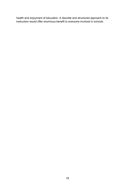health and enjoyment of education. A discrete and structured approach to its instruction would offer enormous benefit to everyone involved in schools.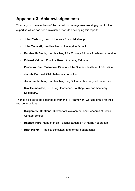# <span id="page-18-0"></span>**Appendix 3: Acknowledgements**

Thanks go to the members of the behaviour management working group for their expertise which has been invaluable towards developing this report:

- **John D'Abbro**, Head of the New Rush Hall Group
- **John Tomsett,** Headteacher of Huntingdon School
- **Damian McBeath**, Headteacher, ARK Conway Primary Academy in London;
- **Edward Vainker**, Principal Reach Academy Feltham
- **Professor Sam Twiselton**, Director of the Sheffield Institute of Education
- **Jacinta Barnard**, Child behaviour consultant
- **Jonathan Molver**, Headteacher, King Solomon Academy in London; and
- **Max Haimendorf,** Founding Headteacher of King Solomon Academy Secondary.

Thanks also go to the secondees from the ITT framework working group for their vital contributions:

- **Margaret Mullholland**, Director of Development and Research at Swiss Cottage School
- **Rachael Hare**, Head of Initial Teacher Education at Harris Federation
- **• Ruth Miskin** Phonics consultant and former headteacher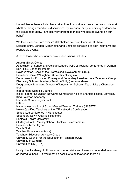I would like to thank all who have taken time to contribute their expertise to this work whether through roundtable discussions, by interview, or by submitting evidence to the group separately. I am also very grateful to those who hosted events on our behalf.

We took evidence from over 22 stakeholder events in Cumbria, Durham, Leicestershire, London, Manchester and Sheffield consisting of both interviews and roundtable events.

A list of those who contributed to our discussions includes:

Angela Milner, Ofsted Association of School and College Leaders (ASCL), regional conference in Durham Ben Riley, Deans for Impact David Weston, Chair of the Professional Development Group Professor Daniel Willingham, University of Virginia Department for Education Primary and Secondary Headteachers Reference Group Discovery Schools Academy Trust / Affinity (Leicestershire) Doug Lemov, Managing Director of Uncommon Schools' Teach Like a Champion team Independent Schools Council Initial Teacher Education Networks Conference held at Sheffield Hallam University King Solomon Academy Michaela Community School Million+ National Association of School-Based Teacher Trainers (NASBTT) Newly Qualified Teachers at the ITE Networks Conference School Led conference in Manchester Secondary Newly Qualified Teachers Sheffield Hallam University St Mary's Cof E Primary School, Hinckley, Leicestershire Professor Terry Haydn Teach First Teacher Unions (roundtable) Teachers Education Advisory Group University Council for the Education of Teachers (UCET) University of Cumbria Universities UK (UUK)

Lastly, thanks also go to those who I met on visits and those who attended events on an individual basis – it would not be possible to acknowledge them all.